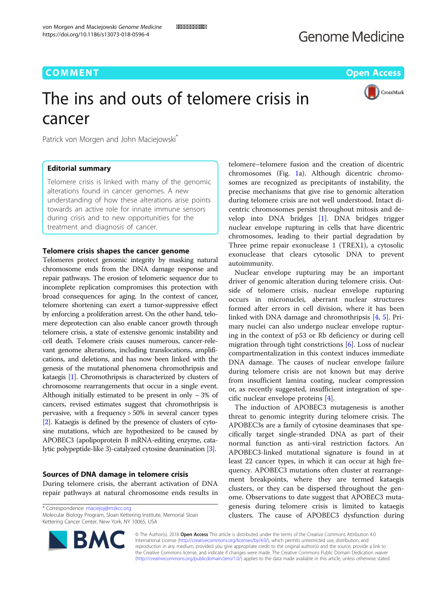# **Genome Medicine**

**COMMENT COMMENT COMMENT COMMENT** 

CrossMark

# The ins and outs of telomere crisis in cancer

Patrick von Morgen and John Maciejowski<sup>\*</sup>

# Editorial summary

Telomere crisis is linked with many of the genomic alterations found in cancer genomes. A new understanding of how these alterations arise points towards an active role for innate immune sensors during crisis and to new opportunities for the treatment and diagnosis of cancer.

# Telomere crisis shapes the cancer genome

Telomeres protect genomic integrity by masking natural chromosome ends from the DNA damage response and repair pathways. The erosion of telomeric sequence due to incomplete replication compromises this protection with broad consequences for aging. In the context of cancer, telomere shortening can exert a tumor-suppressive effect by enforcing a proliferation arrest. On the other hand, telomere deprotection can also enable cancer growth through telomere crisis, a state of extensive genomic instability and cell death. Telomere crisis causes numerous, cancer-relevant genome alterations, including translocations, amplifications, and deletions, and has now been linked with the genesis of the mutational phenomena chromothripsis and kataegis [\[1\]](#page-3-0). Chromothripsis is characterized by clusters of chromosome rearrangements that occur in a single event. Although initially estimated to be present in only  $\sim$  3% of cancers, revised estimates suggest that chromothripsis is pervasive, with a frequency > 50% in several cancer types [[2](#page-3-0)]. Kataegis is defined by the presence of clusters of cytosine mutations, which are hypothesized to be caused by APOBEC3 (apolipoprotein B mRNA-editing enzyme, catalytic polypeptide-like 3)-catalyzed cytosine deamination [\[3](#page-3-0)].

# Sources of DNA damage in telomere crisis

During telomere crisis, the aberrant activation of DNA repair pathways at natural chromosome ends results in

\* Correspondence: [maciejoj@mskcc.org](mailto:maciejoj@mskcc.org)

Molecular Biology Program, Sloan Kettering Institute, Memorial Sloan Kettering Cancer Center, New York, NY 10065, USA



telomere–telomere fusion and the creation of dicentric chromosomes (Fig. [1](#page-1-0)a). Although dicentric chromosomes are recognized as precipitants of instability, the precise mechanisms that give rise to genomic alteration during telomere crisis are not well understood. Intact dicentric chromosomes persist throughout mitosis and develop into DNA bridges [[1](#page-3-0)]. DNA bridges trigger nuclear envelope rupturing in cells that have dicentric chromosomes, leading to their partial degradation by Three prime repair exonuclease 1 (TREX1), a cytosolic exonuclease that clears cytosolic DNA to prevent autoimmunity.

Nuclear envelope rupturing may be an important driver of genomic alteration during telomere crisis. Outside of telomere crisis, nuclear envelope rupturing occurs in micronuclei, aberrant nuclear structures formed after errors in cell division, where it has been linked with DNA damage and chromothripsis [[4,](#page-3-0) [5\]](#page-3-0). Primary nuclei can also undergo nuclear envelope rupturing in the context of p53 or Rb deficiency or during cell migration through tight constrictions [\[6](#page-3-0)]. Loss of nuclear compartmentalization in this context induces immediate DNA damage. The causes of nuclear envelope failure during telomere crisis are not known but may derive from insufficient lamina coating, nuclear compression or, as recently suggested, insufficient integration of specific nuclear envelope proteins [[4\]](#page-3-0).

The induction of APOBEC3 mutagenesis is another threat to genomic integrity during telomere crisis. The APOBEC3s are a family of cytosine deaminases that specifically target single-stranded DNA as part of their normal function as anti-viral restriction factors. An APOBEC3-linked mutational signature is found in at least 22 cancer types, in which it can occur at high frequency. APOBEC3 mutations often cluster at rearrangement breakpoints, where they are termed kataegis clusters, or they can be dispersed throughout the genome. Observations to date suggest that APOBEC3 mutagenesis during telomere crisis is limited to kataegis clusters. The cause of APOBEC3 dysfunction during

© The Author(s). 2018 Open Access This article is distributed under the terms of the Creative Commons Attribution 4.0 International License [\(http://creativecommons.org/licenses/by/4.0/](http://creativecommons.org/licenses/by/4.0/)), which permits unrestricted use, distribution, and reproduction in any medium, provided you give appropriate credit to the original author(s) and the source, provide a link to the Creative Commons license, and indicate if changes were made. The Creative Commons Public Domain Dedication waiver [\(http://creativecommons.org/publicdomain/zero/1.0/](http://creativecommons.org/publicdomain/zero/1.0/)) applies to the data made available in this article, unless otherwise stated.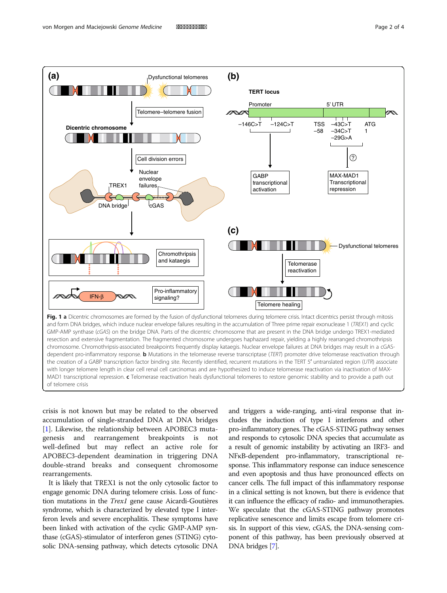<span id="page-1-0"></span>

crisis is not known but may be related to the observed accumulation of single-stranded DNA at DNA bridges [[1\]](#page-3-0). Likewise, the relationship between APOBEC3 mutagenesis and rearrangement breakpoints is not well-defined but may reflect an active role for APOBEC3-dependent deamination in triggering DNA double-strand breaks and consequent chromosome rearrangements.

It is likely that TREX1 is not the only cytosolic factor to engage genomic DNA during telomere crisis. Loss of function mutations in the Trex1 gene cause Aicardi-Goutières syndrome, which is characterized by elevated type I interferon levels and severe encephalitis. These symptoms have been linked with activation of the cyclic GMP-AMP synthase (cGAS)-stimulator of interferon genes (STING) cytosolic DNA-sensing pathway, which detects cytosolic DNA and triggers a wide-ranging, anti-viral response that includes the induction of type I interferons and other pro-inflammatory genes. The cGAS-STING pathway senses and responds to cytosolic DNA species that accumulate as a result of genomic instability by activating an IRF3- and NFκB-dependent pro-inflammatory, transcriptional response. This inflammatory response can induce senescence and even apoptosis and thus have pronounced effects on cancer cells. The full impact of this inflammatory response in a clinical setting is not known, but there is evidence that it can influence the efficacy of radio- and immunotherapies. We speculate that the cGAS-STING pathway promotes replicative senescence and limits escape from telomere crisis. In support of this view, cGAS, the DNA-sensing component of this pathway, has been previously observed at DNA bridges [\[7\]](#page-3-0).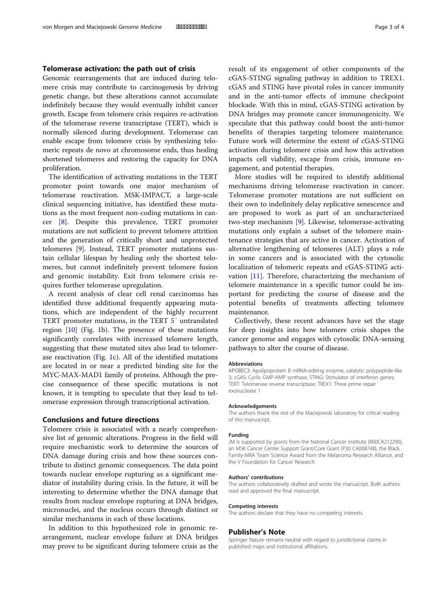### Telomerase activation: the path out of crisis

Genomic rearrangements that are induced during telomere crisis may contribute to carcinogenesis by driving genetic change, but these alterations cannot accumulate indefinitely because they would eventually inhibit cancer growth. Escape from telomere crisis requires re-activation of the telomerase reverse transcriptase (TERT), which is normally silenced during development. Telomerase can enable escape from telomere crisis by synthesizing telomeric repeats de novo at chromosome ends, thus healing shortened telomeres and restoring the capacity for DNA proliferation.

The identification of activating mutations in the TERT promoter point towards one major mechanism of telomerase reactivation. MSK-IMPACT, a large-scale clinical sequencing initiative, has identified these mutations as the most frequent non-coding mutations in cancer [\[8](#page-3-0)]. Despite this prevalence, TERT promoter mutations are not sufficient to prevent telomere attrition and the generation of critically short and unprotected telomeres [\[9](#page-3-0)]. Instead, TERT promoter mutations sustain cellular lifespan by healing only the shortest telomeres, but cannot indefinitely prevent telomere fusion and genomic instability. Exit from telomere crisis requires further telomerase upregulation.

A recent analysis of clear cell renal carcinomas has identified three additional frequently appearing mutations, which are independent of the highly recurrent TERT promoter mutations, in the TERT 5′ untranslated region [\[10](#page-3-0)] (Fig. [1](#page-1-0)b). The presence of these mutations significantly correlates with increased telomere length, suggesting that these mutated sites also lead to telomerase reactivation (Fig. [1c](#page-1-0)). All of the identified mutations are located in or near a predicted binding site for the MYC-MAX-MAD1 family of proteins. Although the precise consequence of these specific mutations is not known, it is tempting to speculate that they lead to telomerase expression through transcriptional activation.

#### Conclusions and future directions

Telomere crisis is associated with a nearly comprehensive list of genomic alterations. Progress in the field will require mechanistic work to determine the sources of DNA damage during crisis and how these sources contribute to distinct genomic consequences. The data point towards nuclear envelope rupturing as a significant mediator of instability during crisis. In the future, it will be interesting to determine whether the DNA damage that results from nuclear envelope rupturing at DNA bridges, micronuclei, and the nucleus occurs through distinct or similar mechanisms in each of these locations.

In addition to this hypothesized role in genomic rearrangement, nuclear envelope failure at DNA bridges may prove to be significant during telomere crisis as the result of its engagement of other components of the cGAS-STING signaling pathway in addition to TREX1. cGAS and STING have pivotal roles in cancer immunity and in the anti-tumor effects of immune checkpoint blockade. With this in mind, cGAS-STING activation by DNA bridges may promote cancer immunogenicity. We speculate that this pathway could boost the anti-tumor benefits of therapies targeting telomere maintenance. Future work will determine the extent of cGAS-STING activation during telomere crisis and how this activation impacts cell viability, escape from crisis, immune engagement, and potential therapies.

More studies will be required to identify additional mechanisms driving telomerase reactivation in cancer. Telomerase promoter mutations are not sufficient on their own to indefinitely delay replicative senescence and are proposed to work as part of an uncharacterized two-step mechanism [\[9\]](#page-3-0). Likewise, telomerase-activating mutations only explain a subset of the telomere maintenance strategies that are active in cancer. Activation of alternative lengthening of telomeres (ALT) plays a role in some cancers and is associated with the cytosolic localization of telomeric repeats and cGAS-STING activation [[11\]](#page-3-0). Therefore, characterizing the mechanism of telomere maintenance in a specific tumor could be important for predicting the course of disease and the potential benefits of treatments affecting telomere maintenance.

Collectively, these recent advances have set the stage for deep insights into how telomere crisis shapes the cancer genome and engages with cytosolic DNA-sensing pathways to alter the course of disease.

#### Abbreviations

APOBEC3: Apolipoprotein B mRNA-editing enzyme, catalytic polypeptide-like 3; cGAS: Cyclic GMP-AMP synthase; STING: Stimulator of interferon genes; TERT: Telomerase reverse transcriptase; TREX1: Three prime repair exonuclease 1

#### Acknowledgements

The authors thank the rest of the Maciejowski laboratory for critical reading of this manuscript.

#### Funding

JM is supported by grants from the National Cancer Institute (R00CA212290), an MSK Cancer Center Support Grant/Core Grant (P30 CA008748), the Black Family-MRA Team Science Award from the Melanoma Research Alliance, and the V Foundation for Cancer Research.

#### Authors' contributions

The authors collaboratively drafted and wrote the manuscript. Both authors read and approved the final manuscript.

#### Competing interests

The authors declare that they have no competing interests.

#### Publisher's Note

Springer Nature remains neutral with regard to jurisdictional claims in published maps and institutional affiliations.